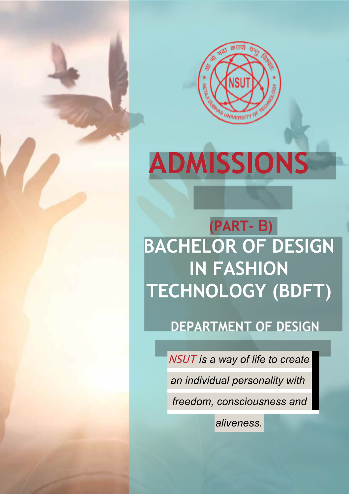

# **ADMISSIONS**

(PART-B) **BACHELOR OF DESIGN IN FASHION TECHNOLOGY (BDFT)**

**DEPARTMENT OF DESIGN** 

NSUT *is a way of life to create*

*an individual personality with*

*freedom, consciousness and*

*aliveness.*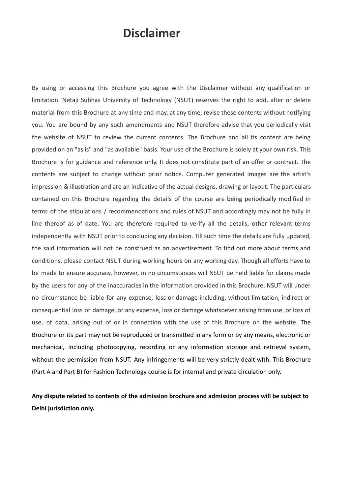# **Disclaimer**

By using or accessing this Brochure you agree with the Disclaimer without any qualification or limitation. Netaji Subhas University of Technology (NSUT) reserves the right to add, alter or delete material from this Brochure at any time and may, at any time, revise these contents without notifying you. You are bound by any such amendments and NSUT therefore advise that you periodically visit the website of NSUT to review the current contents. The Brochure and all its content are being provided on an "as is" and "as available" basis. Your use of the Brochure is solely at your own risk. This Brochure is for guidance and reference only. It does not constitute part of an offer or contract. The contents are subject to change without prior notice. Computer generated images are the artist's impression & illustration and are an indicative of the actual designs, drawing or layout. The particulars contained on this Brochure regarding the details of the course are being periodically modified in terms of the stipulations / recommendations and rules of NSUT and accordingly may not be fully in line thereof as of date. You are therefore required to verify all the details, other relevant terms independently with NSUT prior to concluding any decision. Till such time the details are fully updated, the said information will not be construed as an advertisement. To find out more about terms and conditions, please contact NSUT during working hours on any working day. Though all efforts have to be made to ensure accuracy, however, in no circumstances will NSUT be held liable for claims made by the users for any of the inaccuracies in the information provided in this Brochure. NSUT will under no circumstance be liable for any expense, loss or damage including, without limitation, indirect or consequential loss or damage, or any expense, loss or damage whatsoever arising from use, or loss of use, of data, arising out of or in connection with the use of this Brochure on the website. The Brochure or its part may not be reproduced or transmitted in any form or by any means, electronic or mechanical, including photocopying, recording or any information storage and retrieval system, without the permission from NSUT. Any infringements will be very strictly dealt with. This Brochure (Part A and Part B) for Fashion Technology course is for internal and private circulation only.

**Any dispute related to contents of the admission brochure and admission process will be subject to Delhi jurisdiction only.**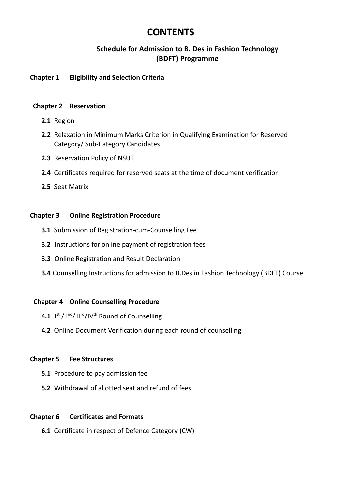# **CONTENTS**

# **Schedule for Admission to B. Des in Fashion Technology (BDFT) Programme**

# **Chapter 1 Eligibility and Selection Criteria**

# **Chapter 2 Reservation**

- **2.1** Region
- **2.2** Relaxation in Minimum Marks Criterion in Qualifying Examination for Reserved Category/ Sub-Category Candidates
- **2.3** Reservation Policy of NSUT
- **2.4** Certificates required for reserved seats at the time of document verification
- **2.5** Seat Matrix

# **Chapter 3 Online Registration Procedure**

- **3.1** Submission of Registration-cum-Counselling Fee
- **3.2** Instructions for online payment of registration fees
- **3.3** Online Registration and Result Declaration
- **3.4** Counselling Instructions for admission to B.Des in Fashion Technology (BDFT) Course

# **Chapter 4 Online Counselling Procedure**

- 4.1 I<sup>st</sup> /II<sup>nd</sup>/III<sup>rd</sup>/IV<sup>th</sup> Round of Counselling
- **4.2** Online Document Verification during each round of counselling

# **Chapter 5 Fee Structures**

- **5.1** Procedure to pay admission fee
- **5.2** Withdrawal of allotted seat and refund of fees

# **Chapter 6 Certificates and Formats**

**6.1** Certificate in respect of Defence Category (CW)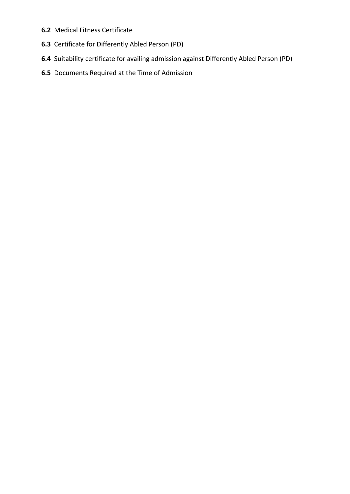- **6.2** Medical Fitness Certificate
- **6.3** Certificate for Differently Abled Person (PD)
- **6.4** Suitability certificate for availing admission against Differently Abled Person (PD)
- **6.5** Documents Required at the Time of Admission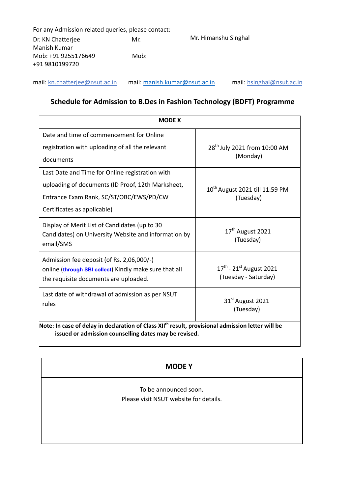| For any Admission related queries, please contact: |      |                      |
|----------------------------------------------------|------|----------------------|
| Dr. KN Chatterjee                                  | Mr.  | Mr. Himanshu Singhal |
| Manish Kumar                                       |      |                      |
| Mob: +91 9255176649<br>+91 9810199720              | Mob: |                      |

mail: [kn.chatterjee@nsut.ac.in](mailto:kn.chatterjee@nsut.ac.in) mail: [manish.kumar@nsut.ac.in](mailto:manish.kumar@nsut.ac.in) mail: [hsinghal@nsut.ac.in](mailto:hsinghal@nsut.ac.in)

# **Schedule for Admission to B.Des in Fashion Technology (BDFT) Programme**

| <b>MODE X</b>                                                                                                                                                          |                                                           |  |  |  |  |  |
|------------------------------------------------------------------------------------------------------------------------------------------------------------------------|-----------------------------------------------------------|--|--|--|--|--|
| Date and time of commencement for Online                                                                                                                               |                                                           |  |  |  |  |  |
| registration with uploading of all the relevant                                                                                                                        | 28 <sup>th</sup> July 2021 from 10:00 AM                  |  |  |  |  |  |
| documents                                                                                                                                                              | (Monday)                                                  |  |  |  |  |  |
| Last Date and Time for Online registration with                                                                                                                        |                                                           |  |  |  |  |  |
| uploading of documents (ID Proof, 12th Marksheet,                                                                                                                      | 10th August 2021 till 11:59 PM                            |  |  |  |  |  |
| Entrance Exam Rank, SC/ST/OBC/EWS/PD/CW                                                                                                                                | (Tuesday)                                                 |  |  |  |  |  |
| Certificates as applicable)                                                                                                                                            |                                                           |  |  |  |  |  |
| Display of Merit List of Candidates (up to 30<br>Candidates) on University Website and information by<br>email/SMS                                                     | 17 <sup>th</sup> August 2021<br>(Tuesday)                 |  |  |  |  |  |
| Admission fee deposit (of Rs. 2,06,000/-)<br>online (through SBI collect) Kindly make sure that all<br>the requisite documents are uploaded.                           | $17^{th}$ - $21^{st}$ August 2021<br>(Tuesday - Saturday) |  |  |  |  |  |
| Last date of withdrawal of admission as per NSUT<br>rules                                                                                                              | 31 <sup>st</sup> August 2021<br>(Tuesday)                 |  |  |  |  |  |
| Note: In case of delay in declaration of Class XII <sup>th</sup> result, provisional admission letter will be<br>issued or admission counselling dates may be revised. |                                                           |  |  |  |  |  |

# **MODE Y**

To be announced soon. Please visit NSUT website for details.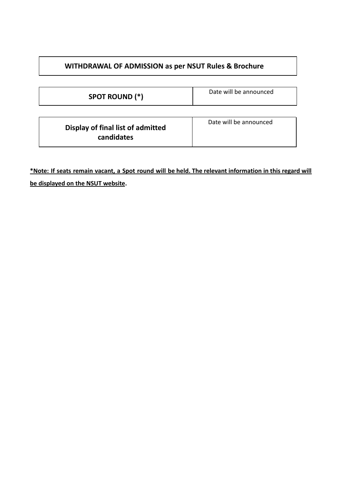| <b>SPOT ROUND (*)</b>                           | Date will be announced |
|-------------------------------------------------|------------------------|
| Display of final list of admitted<br>candidates | Date will be announced |

\*Note: If seats remain vacant, a Spot round will be held. The relevant information in this regard will **be displayed on the NSUT website.**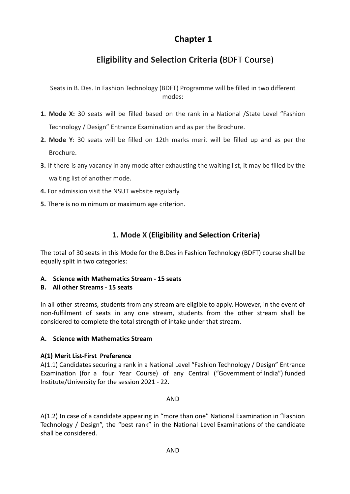# **Chapter 1**

# **Eligibility and Selection Criteria (**BDFT Course)

Seats in B. Des. In Fashion Technology (BDFT) Programme will be filled in two different modes:

- **1. Mode X:** 30 seats will be filled based on the rank in a National /State Level "Fashion Technology / Design" Entrance Examination and as per the Brochure.
- **2. Mode Y**: 30 seats will be filled on 12th marks merit will be filled up and as per the Brochure.
- **3.** If there is any vacancy in any mode after exhausting the waiting list, it may be filled by the waiting list of another mode.
- **4.** For admission visit the NSUT website regularly.
- **5.** There is no minimum or maximum age criterion.

# **1. Mode X (Eligibility and Selection Criteria)**

The total of 30 seats in this Mode for the B.Des in Fashion Technology (BDFT) course shall be equally split in two categories:

**A. Science with Mathematics Stream - 15 seats**

# **B. All other Streams - 15 seats**

In all other streams, students from any stream are eligible to apply. However, in the event of non-fulfilment of seats in any one stream, students from the other stream shall be considered to complete the total strength of intake under that stream.

# **A. Science with Mathematics Stream**

# **A(1) Merit List-First Preference**

A(1.1) Candidates securing a rank in a National Level "Fashion Technology / Design" Entrance Examination (for a four Year Course) of any Central ("Government of India") funded Institute/University for the session 2021 - 22.

# AND

A(1.2) In case of a candidate appearing in "more than one" National Examination in "Fashion Technology / Design", the "best rank" in the National Level Examinations of the candidate shall be considered.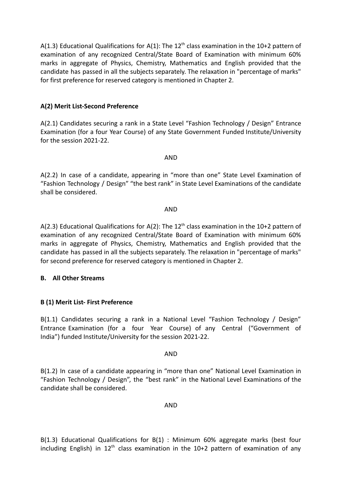A(1.3) Educational Qualifications for A(1): The 12<sup>th</sup> class examination in the 10+2 pattern of examination of any recognized Central/State Board of Examination with minimum 60% marks in aggregate of Physics, Chemistry, Mathematics and English provided that the candidate has passed in all the subjects separately. The relaxation in "percentage of marks" for first preference for reserved category is mentioned in Chapter 2.

# **A(2) Merit List-Second Preference**

A(2.1) Candidates securing a rank in a State Level "Fashion Technology / Design" Entrance Examination (for a four Year Course) of any State Government Funded Institute/University for the session 2021-22.

AND

A(2.2) In case of a candidate, appearing in "more than one" State Level Examination of "Fashion Technology / Design" "the best rank" in State Level Examinations of the candidate shall be considered.

#### AND

A(2.3) Educational Qualifications for A(2): The 12<sup>th</sup> class examination in the 10+2 pattern of examination of any recognized Central/State Board of Examination with minimum 60% marks in aggregate of Physics, Chemistry, Mathematics and English provided that the candidate has passed in all the subjects separately. The relaxation in "percentage of marks" for second preference for reserved category is mentioned in Chapter 2.

## **B. All Other Streams**

# **B (1) Merit List- First Preference**

B(1.1) Candidates securing a rank in a National Level "Fashion Technology / Design" Entrance Examination (for a four Year Course) of any Central ("Government of India") funded Institute/University for the session 2021-22.

## AND

B(1.2) In case of a candidate appearing in "more than one" National Level Examination in "Fashion Technology / Design", the "best rank" in the National Level Examinations of the candidate shall be considered.

## AND

B(1.3) Educational Qualifications for B(1) : Minimum 60% aggregate marks (best four including English) in  $12<sup>th</sup>$  class examination in the  $10+2$  pattern of examination of any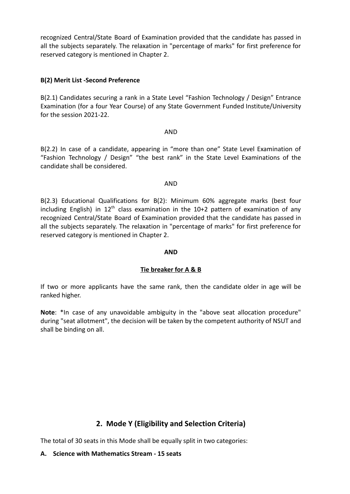recognized Central/State Board of Examination provided that the candidate has passed in all the subjects separately. The relaxation in "percentage of marks" for first preference for reserved category is mentioned in Chapter 2.

## **B(2) Merit List -Second Preference**

B(2.1) Candidates securing a rank in a State Level "Fashion Technology / Design" Entrance Examination (for a four Year Course) of any State Government Funded Institute/University for the session 2021-22.

#### AND

B(2.2) In case of a candidate, appearing in "more than one" State Level Examination of "Fashion Technology / Design" "the best rank" in the State Level Examinations of the candidate shall be considered.

#### AND

B(2.3) Educational Qualifications for B(2): Minimum 60% aggregate marks (best four including English) in  $12<sup>th</sup>$  class examination in the  $10+2$  pattern of examination of any recognized Central/State Board of Examination provided that the candidate has passed in all the subjects separately. The relaxation in "percentage of marks" for first preference for reserved category is mentioned in Chapter 2.

#### **AND**

## **Tie breaker for A & B**

If two or more applicants have the same rank, then the candidate older in age will be ranked higher.

Note: \*In case of any unavoidable ambiguity in the "above seat allocation procedure" during "seat allotment", the decision will be taken by the competent authority of NSUT and shall be binding on all.

# **2. Mode Y (Eligibility and Selection Criteria)**

The total of 30 seats in this Mode shall be equally split in two categories:

#### **A. Science with Mathematics Stream - 15 seats**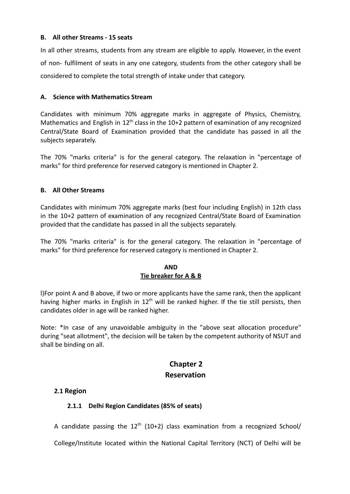# **B. All other Streams - 15 seats**

In all other streams, students from any stream are eligible to apply. However, in the event of non- fulfilment of seats in any one category, students from the other category shall be considered to complete the total strength of intake under that category.

# **A. Science with Mathematics Stream**

Candidates with minimum 70% aggregate marks in aggregate of Physics, Chemistry, Mathematics and English in  $12<sup>th</sup>$  class in the 10+2 pattern of examination of any recognized Central/State Board of Examination provided that the candidate has passed in all the subjects separately.

The 70% "marks criteria" is for the general category. The relaxation in "percentage of marks" for third preference for reserved category is mentioned in Chapter 2.

# **B. All Other Streams**

Candidates with minimum 70% aggregate marks (best four including English) in 12th class in the 10+2 pattern of examination of any recognized Central/State Board of Examination provided that the candidate has passed in all the subjects separately.

The 70% "marks criteria" is for the general category. The relaxation in "percentage of marks" for third preference for reserved category is mentioned in Chapter 2.

# **AND Tie breaker for A & B**

l)For point A and B above, if two or more applicants have the same rank, then the applicant having higher marks in English in  $12<sup>th</sup>$  will be ranked higher. If the tie still persists, then candidates older in age will be ranked higher.

Note: \*In case of any unavoidable ambiguity in the "above seat allocation procedure" during "seat allotment", the decision will be taken by the competent authority of NSUT and shall be binding on all.

# **Chapter 2 Reservation**

## **2.1 Region**

# **2.1.1 Delhi Region Candidates (85% of seats)**

A candidate passing the  $12<sup>th</sup>$  (10+2) class examination from a recognized School/

College/Institute located within the National Capital Territory (NCT) of Delhi will be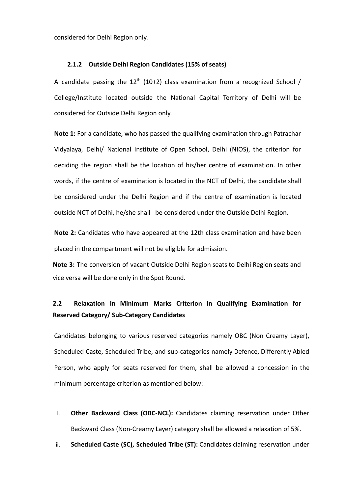considered for Delhi Region only.

#### **2.1.2 Outside Delhi Region Candidates (15% of seats)**

A candidate passing the  $12^{th}$  (10+2) class examination from a recognized School / College/Institute located outside the National Capital Territory of Delhi will be considered for Outside Delhi Region only.

**Note 1:** For a candidate, who has passed the qualifying examination through Patrachar Vidyalaya, Delhi/ National Institute of Open School, Delhi (NIOS), the criterion for deciding the region shall be the location of his/her centre of examination. In other words, if the centre of examination is located in the NCT of Delhi, the candidate shall be considered under the Delhi Region and if the centre of examination is located outside NCT of Delhi, he/she shall be considered under the Outside Delhi Region.

**Note 2:** Candidates who have appeared at the 12th class examination and have been placed in the compartment will not be eligible for admission.

**Note 3:** The conversion of vacant Outside Delhi Region seats to Delhi Region seats and vice versa will be done only in the Spot Round.

# **2.2 Relaxation in Minimum Marks Criterion in Qualifying Examination for Reserved Category/ Sub-Category Candidates**

Candidates belonging to various reserved categories namely OBC (Non Creamy Layer), Scheduled Caste, Scheduled Tribe, and sub-categories namely Defence, Differently Abled Person, who apply for seats reserved for them, shall be allowed a concession in the minimum percentage criterion as mentioned below:

- i. **Other Backward Class (OBC-NCL):** Candidates claiming reservation under Other Backward Class (Non-Creamy Layer) category shall be allowed a relaxation of 5%.
- ii. **Scheduled Caste (SC), Scheduled Tribe (ST):** Candidates claiming reservation under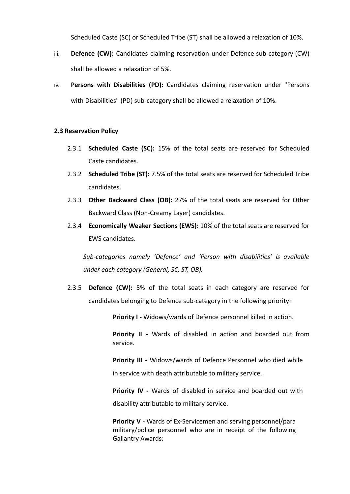Scheduled Caste (SC) or Scheduled Tribe (ST) shall be allowed a relaxation of 10%.

- iii. **Defence (CW):** Candidates claiming reservation under Defence sub-category (CW) shall be allowed a relaxation of 5%.
- iv. **Persons with Disabilities (PD):** Candidates claiming reservation under "Persons with Disabilities" (PD) sub-category shall be allowed a relaxation of 10%.

# **2.3 Reservation Policy**

- 2.3.1 **Scheduled Caste (SC):** 15% of the total seats are reserved for Scheduled Caste candidates.
- 2.3.2 **Scheduled Tribe (ST):** 7.5% of the total seats are reserved for Scheduled Tribe candidates.
- 2.3.3 **Other Backward Class (OB):** 27% of the total seats are reserved for Other Backward Class (Non-Creamy Layer) candidates.
- 2.3.4 **Economically Weaker Sections (EWS):** 10% of the total seats are reserved for EWS candidates.

*Sub-categories namely 'Defence' and 'Person with disabilities' is available under each category (General, SC, ST, OB).*

2.3.5 **Defence (CW):** 5% of the total seats in each category are reserved for candidates belonging to Defence sub-category in the following priority:

**Priority I -** Widows/wards of Defence personnel killed in action.

**Priority II -** Wards of disabled in action and boarded out from service.

**Priority III -** Widows/wards of Defence Personnel who died while in service with death attributable to military service.

**Priority IV -** Wards of disabled in service and boarded out with disability attributable to military service.

**Priority V -** Wards of Ex-Servicemen and serving personnel/para military/police personnel who are in receipt of the following Gallantry Awards: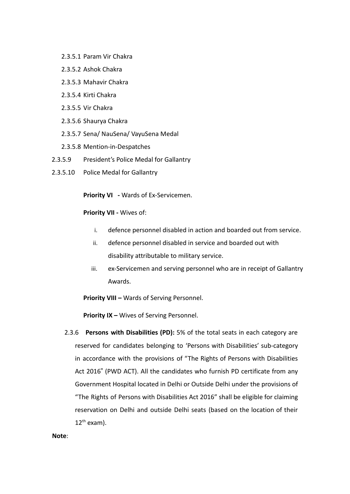- 2.3.5.1 Param Vir Chakra
- 2.3.5.2 Ashok Chakra
- 2.3.5.3 Mahavir Chakra
- 2.3.5.4 Kirti Chakra
- 2.3.5.5 Vir Chakra
- 2.3.5.6 Shaurya Chakra
- 2.3.5.7 Sena/ NauSena/ VayuSena Medal
- 2.3.5.8 Mention-in-Despatches
- 2.3.5.9 President's Police Medal for Gallantry
- 2.3.5.10 Police Medal for Gallantry

**Priority VI -** Wards of Ex-Servicemen.

# **Priority VII -** Wives of:

- i. defence personnel disabled in action and boarded out from service.
- ii. defence personnel disabled in service and boarded out with disability attributable to military service.
- iii. ex-Servicemen and serving personnel who are in receipt of Gallantry Awards.

**Priority VIII –** Wards of Serving Personnel.

**Priority IX –** Wives of Serving Personnel.

2.3.6 **Persons with Disabilities (PD):** 5% of the total seats in each category are reserved for candidates belonging to 'Persons with Disabilities' sub-category in accordance with the provisions of "The Rights of Persons with Disabilities Act 2016" (PWD ACT). All the candidates who furnish PD certificate from any Government Hospital located in Delhi or Outside Delhi under the provisions of "The Rights of Persons with Disabilities Act 2016" shall be eligible for claiming reservation on Delhi and outside Delhi seats (based on the location of their  $12^{th}$  exam).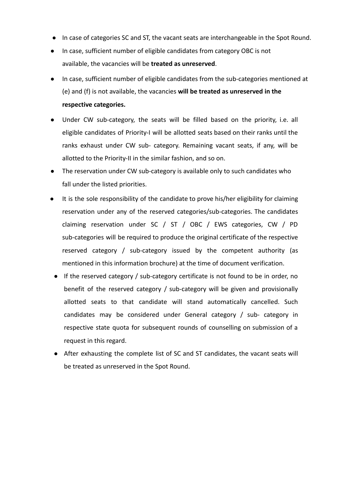- In case of categories SC and ST, the vacant seats are interchangeable in the Spot Round.
- In case, sufficient number of eligible candidates from category OBC is not available, the vacancies will be **treated as unreserved**.
- In case, sufficient number of eligible candidates from the sub-categories mentioned at (e) and (f) is not available, the vacancies **will be treated as unreserved in the respective categories.**
- Under CW sub-category, the seats will be filled based on the priority, i.e. all eligible candidates of Priority-I will be allotted seats based on their ranks until the ranks exhaust under CW sub- category. Remaining vacant seats, if any, will be allotted to the Priority-II in the similar fashion, and so on.
- The reservation under CW sub-category is available only to such candidates who fall under the listed priorities.
- It is the sole responsibility of the candidate to prove his/her eligibility for claiming reservation under any of the reserved categories/sub-categories. The candidates claiming reservation under SC / ST / OBC / EWS categories, CW / PD sub-categories will be required to produce the original certificate of the respective reserved category / sub-category issued by the competent authority (as mentioned in this information brochure) at the time of document verification.
- If the reserved category / sub-category certificate is not found to be in order, no benefit of the reserved category / sub-category will be given and provisionally allotted seats to that candidate will stand automatically cancelled. Such candidates may be considered under General category / sub- category in respective state quota for subsequent rounds of counselling on submission of a request in this regard.
- After exhausting the complete list of SC and ST candidates, the vacant seats will be treated as unreserved in the Spot Round.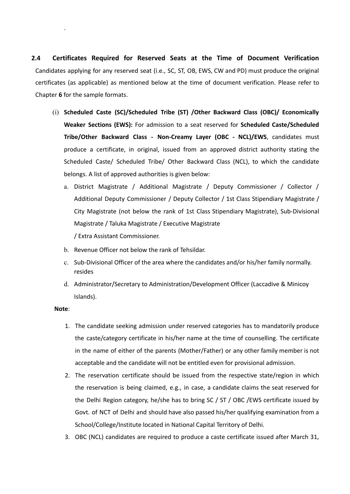**2.4 Certificates Required for Reserved Seats at the Time of Document Verification** Candidates applying for any reserved seat (i.e., SC, ST, OB, EWS, CW and PD) must produce the original certificates (as applicable) as mentioned below at the time of document verification. Please refer to Chapter **6** for the sample formats.

- (i) **Scheduled Caste (SC)/Scheduled Tribe (ST) /Other Backward Class (OBC)/ Economically Weaker Sections (EWS):** For admission to a seat reserved for **Scheduled Caste/Scheduled Tribe/Other Backward Class - Non-Creamy Layer (OBC - NCL)/EWS**, candidates must produce a certificate, in original, issued from an approved district authority stating the Scheduled Caste/ Scheduled Tribe/ Other Backward Class (NCL), to which the candidate belongs. A list of approved authorities is given below:
	- a. District Magistrate / Additional Magistrate / Deputy Commissioner / Collector / Additional Deputy Commissioner / Deputy Collector / 1st Class Stipendiary Magistrate / City Magistrate (not below the rank of 1st Class Stipendiary Magistrate), Sub-Divisional Magistrate / Taluka Magistrate / Executive Magistrate / Extra Assistant Commissioner.
	- b. Revenue Officer not below the rank of Tehsildar.
	- c. Sub-Divisional Officer of the area where the candidates and/or his/her family normally. resides
	- d. Administrator/Secretary to Administration/Development Officer (Laccadive & Minicoy Islands).

#### **Note**:

.

- 1. The candidate seeking admission under reserved categories has to mandatorily produce the caste/category certificate in his/her name at the time of counselling. The certificate in the name of either of the parents (Mother/Father) or any other family member is not acceptable and the candidate will not be entitled even for provisional admission.
- 2. The reservation certificate should be issued from the respective state/region in which the reservation is being claimed, e.g., in case, a candidate claims the seat reserved for the Delhi Region category, he/she has to bring SC / ST / OBC /EWS certificate issued by Govt. of NCT of Delhi and should have also passed his/her qualifying examination from a School/College/Institute located in National Capital Territory of Delhi.
- 3. OBC (NCL) candidates are required to produce a caste certificate issued after March 31,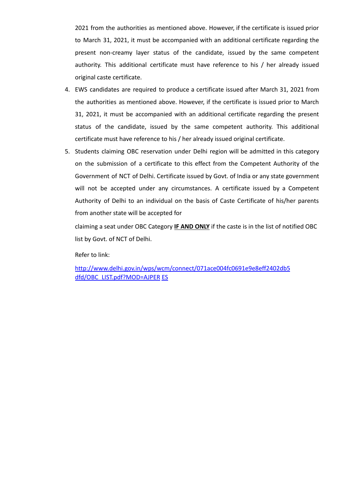2021 from the authorities as mentioned above. However, if the certificate is issued prior to March 31, 2021, it must be accompanied with an additional certificate regarding the present non-creamy layer status of the candidate, issued by the same competent authority. This additional certificate must have reference to his / her already issued original caste certificate.

- 4. EWS candidates are required to produce a certificate issued after March 31, 2021 from the authorities as mentioned above. However, if the certificate is issued prior to March 31, 2021, it must be accompanied with an additional certificate regarding the present status of the candidate, issued by the same competent authority. This additional certificate must have reference to his / her already issued original certificate.
- 5. Students claiming OBC reservation under Delhi region will be admitted in this category on the submission of a certificate to this effect from the Competent Authority of the Government of NCT of Delhi. Certificate issued by Govt. of India or any state government will not be accepted under any circumstances. A certificate issued by a Competent Authority of Delhi to an individual on the basis of Caste Certificate of his/her parents from another state will be accepted for

claiming a seat under OBC Category **IF AND ONLY** if the caste is in the list of notified OBC list by Govt. of NCT of Delhi.

Refer to link:

[http://www.delhi.gov.in/wps/wcm/connect/071ace004fc0691e9e8eff2402db5](http://www.delhi.gov.in/wps/wcm/connect/071ace004fc0691e9e8eff2402db5dfd/OBC_LIST.pdf?MOD=AJPER) [dfd/OBC\\_LIST.pdf?MOD=AJPER](http://www.delhi.gov.in/wps/wcm/connect/071ace004fc0691e9e8eff2402db5dfd/OBC_LIST.pdf?MOD=AJPER) [ES](http://www.delhi.gov.in/wps/wcm/connect/071ace004fc0691e9e8eff2402db5dfd/OBC_LIST.pdf?MOD=AJPERES)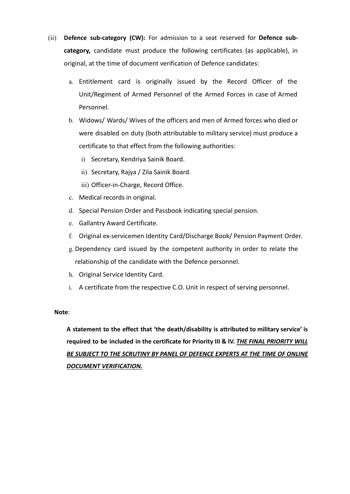- (ii) **Defence sub-category (CW):** For admission to a seat reserved for **Defence subcategory,** candidate must produce the following certificates (as applicable), in original, at the time of document verification of Defence candidates:
	- a. Entitlement card is originally issued by the Record Officer of the Unit/Regiment of Armed Personnel of the Armed Forces in case of Armed Personnel.
	- b. Widows/ Wards/ Wives of the officers and men of Armed forces who died or were disabled on duty (both attributable to military service) must produce a certificate to that effect from the following authorities:
		- i) Secretary, Kendriya Sainik Board.
		- ii) Secretary, Rajya / Zila Sainik Board.
		- iii) Officer-in-Charge, Record Office.
	- c. Medical records in original.
	- d. Special Pension Order and Passbook indicating special pension.
	- e. Gallantry Award Certificate.
	- f. Original ex-servicemen Identity Card/Discharge Book/ Pension Payment Order.
	- g. Dependency card issued by the competent authority in order to relate the relationship of the candidate with the Defence personnel.
	- h. Original Service Identity Card.
	- i. A certificate from the respective C.O. Unit in respect of serving personnel.

#### **Note**:

**A statement to the effect that 'the death/disability is attributed to military service' is required to be included in the certificate for Priority III & IV.** *THE FINAL PRIORITY WILL BE SUBJECT TO THE SCRUTINY BY PANEL OF DEFENCE EXPERTS AT THE TIME OF ONLINE DOCUMENT VERIFICATION.*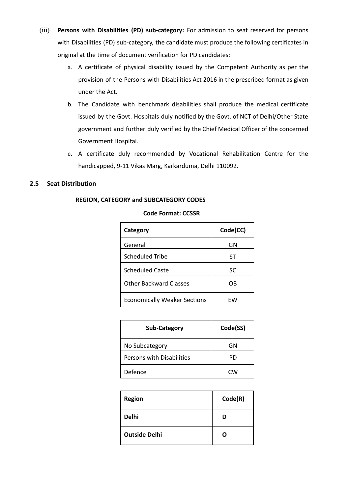- (iii) **Persons with Disabilities (PD) sub-category:** For admission to seat reserved for persons with Disabilities (PD) sub-category, the candidate must produce the following certificates in original at the time of document verification for PD candidates:
	- a. A certificate of physical disability issued by the Competent Authority as per the provision of the Persons with Disabilities Act 2016 in the prescribed format as given under the Act.
	- b. The Candidate with benchmark disabilities shall produce the medical certificate issued by the Govt. Hospitals duly notified by the Govt. of NCT of Delhi/Other State government and further duly verified by the Chief Medical Officer of the concerned Government Hospital.
	- c. A certificate duly recommended by Vocational Rehabilitation Centre for the handicapped, 9-11 Vikas Marg, Karkarduma, Delhi 110092.

#### **2.5 Seat Distribution**

#### **REGION, CATEGORY and SUBCATEGORY CODES**

| <b>Code Format: CCSSR</b> |  |
|---------------------------|--|
|---------------------------|--|

| Category                            | Code(CC) |
|-------------------------------------|----------|
| General                             | GN       |
| <b>Scheduled Tribe</b>              | ST       |
| <b>Scheduled Caste</b>              | SC       |
| <b>Other Backward Classes</b>       | OB       |
| <b>Economically Weaker Sections</b> | FW.      |

| <b>Sub-Category</b>              | Code(SS)  |
|----------------------------------|-----------|
| No Subcategory                   | GN        |
| <b>Persons with Disabilities</b> | PD        |
| Defence                          | <b>CW</b> |

| <b>Region</b>        | Code(R) |
|----------------------|---------|
| <b>Delhi</b>         | D       |
| <b>Outside Delhi</b> | n       |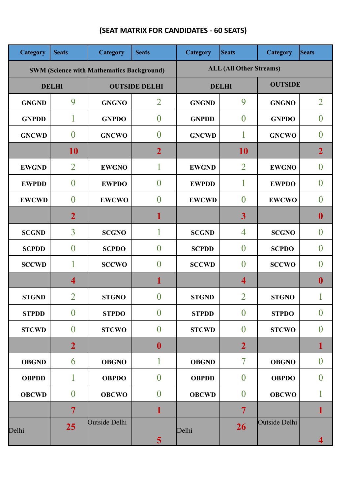| <b>Category</b> | <b>Seats</b>            | Category                                         | <b>Seats</b>         | Category                       | <b>Seats</b>            | Category      | <b>Seats</b>     |  |  |
|-----------------|-------------------------|--------------------------------------------------|----------------------|--------------------------------|-------------------------|---------------|------------------|--|--|
|                 |                         | <b>SWM (Science with Mathematics Background)</b> |                      | <b>ALL (All Other Streams)</b> |                         |               |                  |  |  |
|                 | <b>DELHI</b>            |                                                  | <b>OUTSIDE DELHI</b> | <b>DELHI</b>                   | <b>OUTSIDE</b>          |               |                  |  |  |
| <b>GNGND</b>    | 9                       | <b>GNGNO</b>                                     | $\overline{2}$       | <b>GNGND</b>                   | 9                       | <b>GNGNO</b>  | $\overline{2}$   |  |  |
| <b>GNPDD</b>    | 1                       | <b>GNPDO</b>                                     | $\overline{0}$       | <b>GNPDD</b>                   | $\boldsymbol{0}$        | <b>GNPDO</b>  | $\boldsymbol{0}$ |  |  |
| <b>GNCWD</b>    | $\theta$                | <b>GNCWO</b>                                     | $\overline{0}$       | <b>GNCWD</b>                   | 1                       | <b>GNCWO</b>  | $\overline{0}$   |  |  |
|                 | 10                      |                                                  | $\overline{2}$       |                                | <b>10</b>               |               | $\overline{2}$   |  |  |
| <b>EWGND</b>    | $\overline{2}$          | <b>EWGNO</b>                                     | 1                    | <b>EWGND</b>                   | $\overline{2}$          | <b>EWGNO</b>  | $\overline{0}$   |  |  |
| <b>EWPDD</b>    | $\overline{0}$          | <b>EWPDO</b>                                     | $\boldsymbol{0}$     | <b>EWPDD</b>                   | 1                       | <b>EWPDO</b>  | $\boldsymbol{0}$ |  |  |
| <b>EWCWD</b>    | $\theta$                | <b>EWCWO</b>                                     | $\overline{0}$       | <b>EWCWD</b>                   | $\overline{0}$          | <b>EWCWO</b>  | $\overline{0}$   |  |  |
|                 | $\overline{2}$          |                                                  | 1                    |                                | $\overline{\mathbf{3}}$ |               | $\mathbf{0}$     |  |  |
| <b>SCGND</b>    | $\overline{3}$          | <b>SCGNO</b>                                     | 1                    | <b>SCGND</b>                   | 4                       | <b>SCGNO</b>  | $\boldsymbol{0}$ |  |  |
| <b>SCPDD</b>    | $\theta$                | <b>SCPDO</b>                                     | $\overline{0}$       | <b>SCPDD</b>                   | $\overline{0}$          | <b>SCPDO</b>  | $\theta$         |  |  |
| <b>SCCWD</b>    | 1                       | <b>SCCWO</b>                                     | $\theta$             | <b>SCCWD</b>                   | $\theta$                | <b>SCCWO</b>  | $\theta$         |  |  |
|                 | $\overline{\mathbf{4}}$ |                                                  | 1                    |                                | 4                       |               | $\boldsymbol{0}$ |  |  |
| <b>STGND</b>    | $\overline{2}$          | <b>STGNO</b>                                     | $\theta$             | <b>STGND</b>                   | $\overline{2}$          | <b>STGNO</b>  |                  |  |  |
| <b>STPDD</b>    | $\overline{0}$          | <b>STPDO</b>                                     | $\boldsymbol{0}$     | <b>STPDD</b>                   | $\boldsymbol{0}$        | <b>STPDO</b>  | $\boldsymbol{0}$ |  |  |
| <b>STCWD</b>    | $\overline{0}$          | <b>STCWO</b>                                     | $\boldsymbol{0}$     | <b>STCWD</b>                   | $\boldsymbol{0}$        | <b>STCWO</b>  | $\boldsymbol{0}$ |  |  |
|                 | $\overline{2}$          |                                                  | $\boldsymbol{0}$     |                                | $\overline{2}$          |               | 1                |  |  |
| <b>OBGND</b>    | 6                       | <b>OBGNO</b>                                     | 1                    | <b>OBGND</b>                   | 7                       | <b>OBGNO</b>  | $\boldsymbol{0}$ |  |  |
| <b>OBPDD</b>    | 1                       | <b>OBPDO</b>                                     | $\overline{0}$       | <b>OBPDD</b>                   | $\boldsymbol{0}$        | <b>OBPDO</b>  | $\overline{0}$   |  |  |
| <b>OBCWD</b>    | $\overline{0}$          | <b>OBCWO</b>                                     | $\boldsymbol{0}$     | <b>OBCWD</b>                   | $\boldsymbol{0}$        | <b>OBCWO</b>  | 1                |  |  |
|                 | $\overline{7}$          |                                                  | 1                    |                                | 7                       |               | 1                |  |  |
| Delhi           | 25                      | Outside Delhi                                    | 5                    | Delhi                          | 26                      | Outside Delhi | 4                |  |  |

# **(SEAT MATRIX FOR CANDIDATES - 60 SEATS)**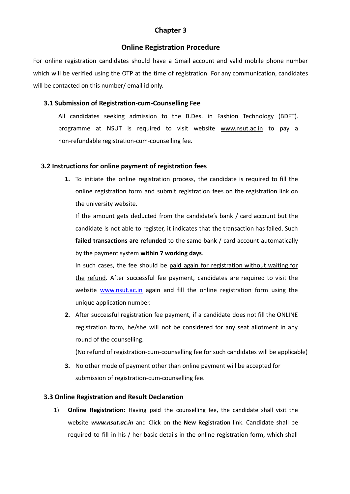# **Chapter 3**

## **Online Registration Procedure**

For online registration candidates should have a Gmail account and valid mobile phone number which will be verified using the OTP at the time of registration. For any communication, candidates will be contacted on this number/ email id only.

# **3.1 Submission of Registration-cum-Counselling Fee**

All candidates seeking admission to the B.Des. in Fashion Technology (BDFT). programme at NSUT is required to visit website [www.nsut.ac.in](http://www.nsut.ac.in/) to pay a non-refundable registration-cum-counselling fee.

# **3.2 Instructions for online payment of registration fees**

**1.** To initiate the online registration process, the candidate is required to fill the online registration form and submit registration fees on the registration link on the university website.

If the amount gets deducted from the candidate's bank / card account but the candidate is not able to register, it indicates that the transaction has failed. Such **failed transactions are refunded** to the same bank / card account automatically by the payment system **within 7 working days**.

In such cases, the fee should be paid again for registration without waiting for the refund. After successful fee payment, candidates are required to visit the website [www.](http://www.jacdelhi.nic.in/)nsut.ac.in again and fill the online registration form using the unique application number.

**2.** After successful registration fee payment, if a candidate does not fill the ONLINE registration form, he/she will not be considered for any seat allotment in any round of the counselling.

(No refund of registration-cum-counselling fee for such candidates will be applicable)

**3.** No other mode of payment other than online payment will be accepted for submission of registration-cum-counselling fee.

## **3.3 Online Registration and Result Declaration**

1) **Online Registration:** Having paid the counselling fee, the candidate shall visit the website *[www.nsut.ac.in](http://www.nsut.ac.in/)* and Click on the **New Registration** link. Candidate shall be required to fill in his / her basic details in the online registration form, which shall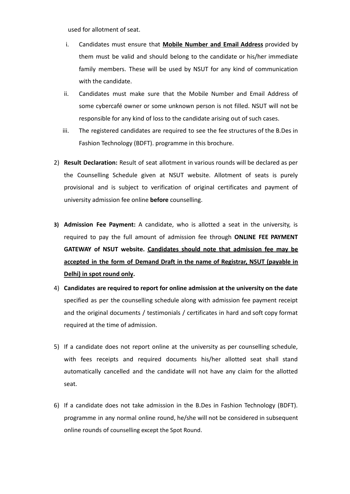used for allotment of seat.

- i. Candidates must ensure that **Mobile Number and Email Address** provided by them must be valid and should belong to the candidate or his/her immediate family members. These will be used by NSUT for any kind of communication with the candidate.
- ii. Candidates must make sure that the Mobile Number and Email Address of some cybercafé owner or some unknown person is not filled. NSUT will not be responsible for any kind of loss to the candidate arising out of such cases.
- iii. The registered candidates are required to see the fee structures of the B.Des in Fashion Technology (BDFT). programme in this brochure.
- 2) **Result Declaration:** Result of seat allotment in various rounds will be declared as per the Counselling Schedule given at NSUT website. Allotment of seats is purely provisional and is subject to verification of original certificates and payment of university admission fee online **before** counselling.
- **3) Admission Fee Payment:** A candidate, who is allotted a seat in the university, is required to pay the full amount of admission fee through **ONLINE FEE PAYMENT GATEWAY of NSUT website. Candidates should note that admission fee may be accepted in the form of Demand Draft in the name of Registrar, NSUT (payable in Delhi) in spot round only.**
- 4) **Candidates are required to report for online admission at the university on the date** specified as per the counselling schedule along with admission fee payment receipt and the original documents / testimonials / certificates in hard and soft copy format required at the time of admission.
- 5) If a candidate does not report online at the university as per counselling schedule, with fees receipts and required documents his/her allotted seat shall stand automatically cancelled and the candidate will not have any claim for the allotted seat.
- 6) If a candidate does not take admission in the B.Des in Fashion Technology (BDFT). programme in any normal online round, he/she will not be considered in subsequent online rounds of counselling except the Spot Round.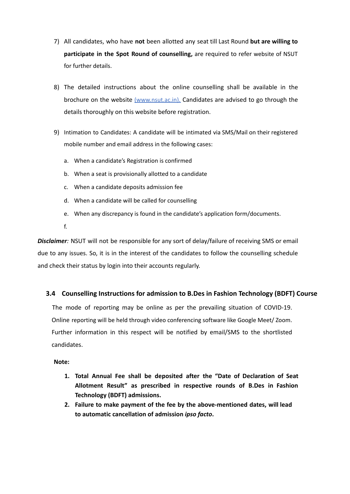- 7) All candidates, who have **not** been allotted any seat till Last Round **but are willing to participate in the Spot Round of counselling,** are required to refer website of NSUT for further details.
- 8) The detailed instructions about the online counselling shall be available in the brochure on the website (www.nsut.ac.in). Candidates are advised to go through the details thoroughly on this website before registration.
- 9) Intimation to Candidates: A candidate will be intimated via SMS/Mail on their registered mobile number and email address in the following cases:
	- a. When a candidate's Registration is confirmed
	- b. When a seat is provisionally allotted to a candidate
	- c. When a candidate deposits admission fee
	- d. When a candidate will be called for counselling
	- e. When any discrepancy is found in the candidate's application form/documents.

f.

*Disclaimer:* NSUT will not be responsible for any sort of delay/failure of receiving SMS or email due to any issues. So, it is in the interest of the candidates to follow the counselling schedule and check their status by login into their accounts regularly.

## **3.4 Counselling Instructions for admission to B.Des in Fashion Technology (BDFT) Course**

The mode of reporting may be online as per the prevailing situation of COVID-19. Online reporting will be held through video conferencing software like Google Meet/ Zoom. Further information in this respect will be notified by email/SMS to the shortlisted candidates.

#### **Note:**

- **1. Total Annual Fee shall be deposited after the "Date of Declaration of Seat Allotment Result" as prescribed in respective rounds of B.Des in Fashion Technology (BDFT) admissions.**
- **2. Failure to make payment of the fee by the above-mentioned dates, will lead to automatic cancellation of admission** *ipso facto***.**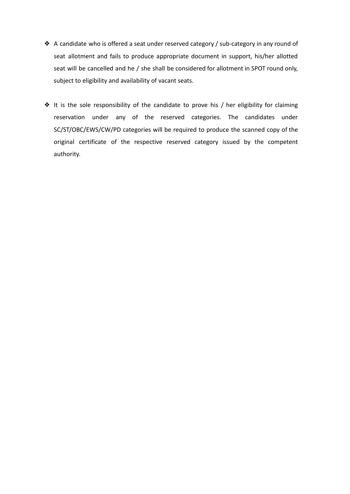- ❖ A candidate who is offered a seat under reserved category / sub-category in any round of seat allotment and fails to produce appropriate document in support, his/her allotted seat will be cancelled and he / she shall be considered for allotment in SPOT round only, subject to eligibility and availability of vacant seats.
- ❖ It is the sole responsibility of the candidate to prove his / her eligibility for claiming reservation under any of the reserved categories. The candidates under SC/ST/OBC/EWS/CW/PD categories will be required to produce the scanned copy of the original certificate of the respective reserved category issued by the competent authority.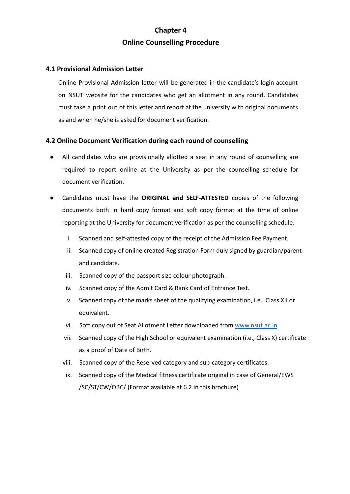# **Chapter 4 Online Counselling Procedure**

# **4.1 Provisional Admission Letter**

Online Provisional Admission letter will be generated in the candidate's login account on NSUT website for the candidates who get an allotment in any round. Candidates must take a print out of this letter and report at the university with original documents as and when he/she is asked for document verification.

# **4.2 Online Document Verification during each round of counselling**

- All candidates who are provisionally allotted a seat in any round of counselling are required to report online at the University as per the counselling schedule for document verification.
- Candidates must have the **ORIGINAL and SELF-ATTESTED** copies of the following documents both in hard copy format and soft copy format at the time of online reporting at the University for document verification as per the counselling schedule:
	- i. Scanned and self-attested copy of the receipt of the Admission Fee Payment.
	- ii. Scanned copy of online created Registration Form duly signed by guardian/parent and candidate.
	- iii. Scanned copy of the passport size colour photograph.
	- iv. Scanned copy of the Admit Card & Rank Card of Entrance Test.
	- v. Scanned copy of the marks sheet of the qualifying examination, i.e., Class XII or equivalent.
	- vi. Soft copy out of Seat Allotment Letter downloaded from [www.nsut.ac.in](http://www.nsut.ac.in/)
	- vii. Scanned copy of the High School or equivalent examination (i.e., Class X) ce[rtificate](http://www.jacdelhi.nic.in/) as a [proof](http://www.jacdelhi.nic.in/) of Date of Birth.
	- viii. Scanned copy of the Reserved category and sub-category certificates.
	- ix. Scanned copy of the Medical fitness certificate original in case of General/EWS /SC/ST/CW/OBC/ (Format available at 6.2 in this brochure)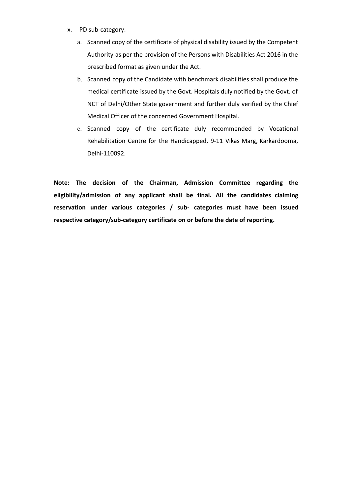- x. PD sub-category:
	- a. Scanned copy of the certificate of physical disability issued by the Competent Authority as per the provision of the Persons with Disabilities Act 2016 in the prescribed format as given under the Act.
	- b. Scanned copy of the Candidate with benchmark disabilities shall produce the medical certificate issued by the Govt. Hospitals duly notified by the Govt. of NCT of Delhi/Other State government and further duly verified by the Chief Medical Officer of the concerned Government Hospital.
	- c. Scanned copy of the certificate duly recommended by Vocational Rehabilitation Centre for the Handicapped, 9-11 Vikas Marg, Karkardooma, Delhi-110092.

**Note: The decision of the Chairman, Admission Committee regarding the eligibility/admission of any applicant shall be final. All the candidates claiming reservation under various categories / sub- categories must have been issued respective category/sub-category certificate on or before the date of reporting.**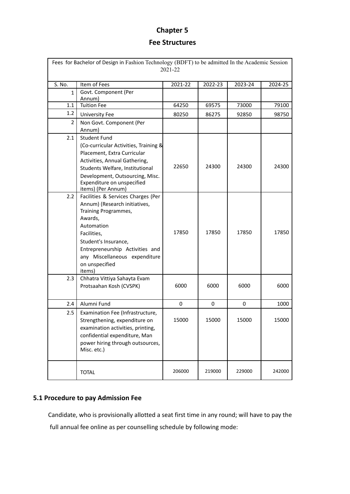# **Chapter 5 Fee Structures**

| Fees for Bachelor of Design in Fashion Technology (BDFT) to be admitted In the Academic Session<br>2021-22 |                                                                                                                                                                                                                                                             |             |             |         |         |  |  |  |
|------------------------------------------------------------------------------------------------------------|-------------------------------------------------------------------------------------------------------------------------------------------------------------------------------------------------------------------------------------------------------------|-------------|-------------|---------|---------|--|--|--|
| S. No.                                                                                                     | Item of Fees                                                                                                                                                                                                                                                | 2021-22     | 2022-23     | 2023-24 | 2024-25 |  |  |  |
| $\mathbf{1}$                                                                                               | Govt. Component (Per<br>Annum)                                                                                                                                                                                                                              |             |             |         |         |  |  |  |
| 1.1                                                                                                        | <b>Tuition Fee</b>                                                                                                                                                                                                                                          | 64250       | 69575       | 73000   | 79100   |  |  |  |
| 1.2                                                                                                        | <b>University Fee</b>                                                                                                                                                                                                                                       | 80250       | 86275       | 92850   | 98750   |  |  |  |
| 2                                                                                                          | Non Govt. Component (Per<br>Annum)                                                                                                                                                                                                                          |             |             |         |         |  |  |  |
| 2.1                                                                                                        | <b>Student Fund</b><br>(Co-curricular Activities, Training &<br>Placement, Extra Curricular<br>Activities, Annual Gathering,<br>Students Welfare, Institutional<br>Development, Outsourcing, Misc.<br>Expenditure on unspecified<br>items) (Per Annum)      | 22650       | 24300       | 24300   | 24300   |  |  |  |
| 2.2                                                                                                        | Facilities & Services Charges (Per<br>Annum) (Research initiatives,<br>Training Programmes,<br>Awards,<br>Automation<br>Facilities,<br>Student's Insurance,<br>Entrepreneurship Activities and<br>any Miscellaneous expenditure<br>on unspecified<br>items) | 17850       | 17850       | 17850   | 17850   |  |  |  |
| 2.3                                                                                                        | Chhatra Vittiya Sahayta Evam<br>Protsaahan Kosh (CVSPK)                                                                                                                                                                                                     | 6000        | 6000        | 6000    | 6000    |  |  |  |
| 2.4                                                                                                        | Alumni Fund                                                                                                                                                                                                                                                 | $\mathbf 0$ | $\mathbf 0$ | 0       | 1000    |  |  |  |
| 2.5                                                                                                        | Examination Fee (Infrastructure,<br>Strengthening, expenditure on<br>examination activities, printing,<br>confidential expenditure, Man<br>power hiring through outsources,<br>Misc. etc.)                                                                  | 15000       | 15000       | 15000   | 15000   |  |  |  |
|                                                                                                            | <b>TOTAL</b>                                                                                                                                                                                                                                                | 206000      | 219000      | 229000  | 242000  |  |  |  |

# **5.1 Procedure to pay Admission Fee**

Candidate, who is provisionally allotted a seat first time in any round; will have to pay the full annual fee online as per counselling schedule by following mode: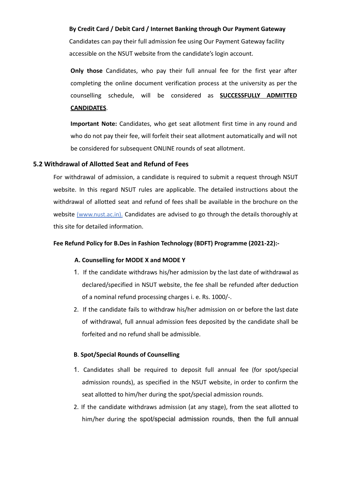#### **By Credit Card / Debit Card / Internet Banking through Our Payment Gateway**

Candidates can pay their full admission fee using Our Payment Gateway facility accessible on the NSUT website from the candidate's login account.

**Only those** Candidates, who pay their full annual fee for the first year after completing the online document verification process at the university as per the counselling schedule, will be considered as **SUCCESSFULLY ADMITTED CANDIDATES**.

**Important Note:** Candidates, who get seat allotment first time in any round and who do not pay their fee, will forfeit their seat allotment automatically and will not be considered for subsequent ONLINE rounds of seat allotment.

#### **5.2 Withdrawal of Allotted Seat and Refund of Fees**

For withdrawal of admission, a candidate is required to submit a request through NSUT website. In this regard NSUT rules are applicable. The detailed instructions about the withdrawal of allotted seat and refund of fees shall be available in the brochure on the website (www.nust.ac.in). Candidates are advised to go through the details thoroughly at this site for detailed information.

#### **Fee Refund Policy for B.Des in Fashion Technology (BDFT) Programme (2021-22):-**

#### **A. Counselling for MODE X and MODE Y**

- 1. If the candidate withdraws his/her admission by the last date of withdrawal as declared/specified in NSUT website, the fee shall be refunded after deduction of a nominal refund processing charges i. e. Rs. 1000/-.
- 2. If the candidate fails to withdraw his/her admission on or before the last date of withdrawal, full annual admission fees deposited by the candidate shall be forfeited and no refund shall be admissible.

#### **B**. **Spot/Special Rounds of Counselling**

- 1. Candidates shall be required to deposit full annual fee (for spot/special admission rounds), as specified in the NSUT website, in order to confirm the seat allotted to him/her during the spot/special admission rounds.
- 2. If the candidate withdraws admission (at any stage), from the seat allotted to him/her during the spot/special admission rounds, then the full annual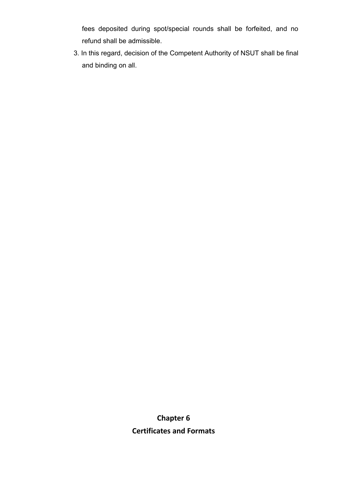fees deposited during spot/special rounds shall be forfeited, and no refund shall be admissible.

3. In this regard, decision of the Competent Authority of NSUT shall be final and binding on all.

> **Chapter 6 Certificates and Formats**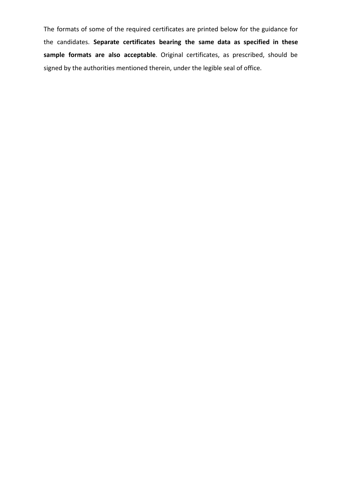The formats of some of the required certificates are printed below for the guidance for the candidates. **Separate certificates bearing the same data as specified in these sample formats are also acceptable**. Original certificates, as prescribed, should be signed by the authorities mentioned therein, under the legible seal of office.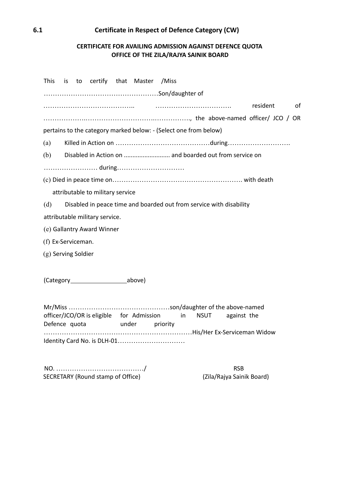# **6.1 Certificate in Respect of Defence Category (CW)**

# **CERTIFICATE FOR AVAILING ADMISSION AGAINST DEFENCE QUOTA OFFICE OF THE ZILA/RAJYA SAINIK BOARD**

| <b>This</b>         |  |                                              | is to certify that Master /Miss                                     |    |             |             |          |    |
|---------------------|--|----------------------------------------------|---------------------------------------------------------------------|----|-------------|-------------|----------|----|
|                     |  |                                              |                                                                     |    |             |             |          |    |
|                     |  |                                              |                                                                     |    |             |             | resident | of |
|                     |  |                                              |                                                                     |    |             |             |          |    |
|                     |  |                                              | pertains to the category marked below: - (Select one from below)    |    |             |             |          |    |
| (a)                 |  |                                              |                                                                     |    |             |             |          |    |
| (b)                 |  |                                              | Disabled in Action on  and boarded out from service on              |    |             |             |          |    |
|                     |  |                                              |                                                                     |    |             |             |          |    |
|                     |  |                                              |                                                                     |    |             |             |          |    |
|                     |  | attributable to military service             |                                                                     |    |             |             |          |    |
| (d)                 |  |                                              | Disabled in peace time and boarded out from service with disability |    |             |             |          |    |
|                     |  | attributable military service.               |                                                                     |    |             |             |          |    |
|                     |  | (e) Gallantry Award Winner                   |                                                                     |    |             |             |          |    |
| (f) Ex-Serviceman.  |  |                                              |                                                                     |    |             |             |          |    |
| (g) Serving Soldier |  |                                              |                                                                     |    |             |             |          |    |
|                     |  |                                              |                                                                     |    |             |             |          |    |
|                     |  | (Category_____________________________above) |                                                                     |    |             |             |          |    |
|                     |  |                                              |                                                                     |    |             |             |          |    |
| Defence quota       |  |                                              | officer/JCO/OR is eligible for Admission<br>under priority          | in | <b>NSUT</b> | against the |          |    |
|                     |  |                                              |                                                                     |    |             |             |          |    |
|                     |  |                                              | Identity Card No. is DLH-01                                         |    |             |             |          |    |
|                     |  |                                              |                                                                     |    |             |             |          |    |

NO. ……………………………………………/<br>SECRETARY (Round stamp of Office) (Zila/Rajya Sainik Board) SECRETARY (Round stamp of Office)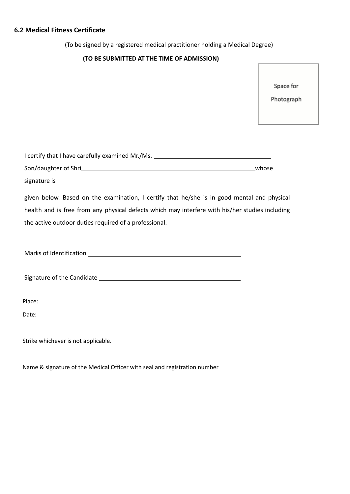# **6.2 Medical Fitness Certificate**

(To be signed by a registered medical practitioner holding a Medical Degree)

# **(TO BE SUBMITTED AT THE TIME OF ADMISSION)**

Space for

Photograph

| I certify that I have carefully examined Mr./Ms. _______________________________                                           |  |
|----------------------------------------------------------------------------------------------------------------------------|--|
| Son/daughter of Shri entertainment and the control of the control of the control of the control of the control of<br>whose |  |
| signature is                                                                                                               |  |
| given below. Based on the examination, I certify that he/she is in good mental and physical                                |  |
| health and is free from any physical defects which may interfere with his/her studies including                            |  |
| the active outdoor duties required of a professional.                                                                      |  |
|                                                                                                                            |  |
|                                                                                                                            |  |
|                                                                                                                            |  |
| Place:                                                                                                                     |  |
| Date:                                                                                                                      |  |
| Strike whichever is not applicable.                                                                                        |  |

Name & signature of the Medical Officer with seal and registration number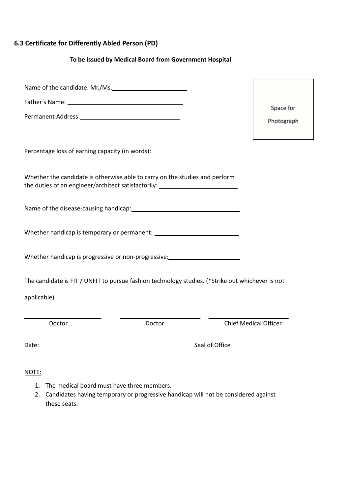# **6.3 Certificate for Differently Abled Person (PD)**

# **To be issued by Medical Board from Government Hospital**

| Name of the candidate: Mr./Ms.                                                                                                                                  |        |                              |            |
|-----------------------------------------------------------------------------------------------------------------------------------------------------------------|--------|------------------------------|------------|
|                                                                                                                                                                 |        |                              |            |
|                                                                                                                                                                 |        |                              | Space for  |
|                                                                                                                                                                 |        |                              | Photograph |
| Percentage loss of earning capacity (in words):                                                                                                                 |        |                              |            |
| Whether the candidate is otherwise able to carry on the studies and perform<br>the duties of an engineer/architect satisfactorily: ____________________________ |        |                              |            |
|                                                                                                                                                                 |        |                              |            |
|                                                                                                                                                                 |        |                              |            |
|                                                                                                                                                                 |        |                              |            |
| The candidate is FIT / UNFIT to pursue fashion technology studies. (*Strike out whichever is not                                                                |        |                              |            |
| applicable)                                                                                                                                                     |        |                              |            |
|                                                                                                                                                                 |        |                              |            |
| Doctor                                                                                                                                                          | Doctor | <b>Chief Medical Officer</b> |            |
| Date:                                                                                                                                                           |        | Seal of Office               |            |

# NOTE:

- 1. The medical board must have three members.
- 2. Candidates having temporary or progressive handicap will not be considered against these seats.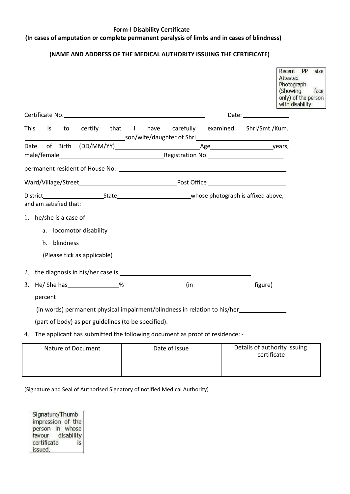# **Form-I Disability Certificate**

#### **(In cases of amputation or complete permanent paralysis of limbs and in cases of blindness)**

## **(NAME AND ADDRESS OF THE MEDICAL AUTHORITY ISSUING THE CERTIFICATE)**

|      |                                                                                |  |     |                                                                                                                                                                                                                                | <b>PP</b><br>Recent<br>size<br>Attested<br>Photograph<br>(Showing<br>face<br>only) of the person<br>with disability |
|------|--------------------------------------------------------------------------------|--|-----|--------------------------------------------------------------------------------------------------------------------------------------------------------------------------------------------------------------------------------|---------------------------------------------------------------------------------------------------------------------|
|      |                                                                                |  |     | Date: the contract of the contract of the contract of the contract of the contract of the contract of the contract of the contract of the contract of the contract of the contract of the contract of the contract of the cont |                                                                                                                     |
|      | This<br>is i                                                                   |  |     | to certify that I have carefully examined Shri/Smt./Kum.                                                                                                                                                                       |                                                                                                                     |
| Date |                                                                                |  |     |                                                                                                                                                                                                                                |                                                                                                                     |
|      |                                                                                |  |     |                                                                                                                                                                                                                                |                                                                                                                     |
|      |                                                                                |  |     |                                                                                                                                                                                                                                |                                                                                                                     |
|      |                                                                                |  |     |                                                                                                                                                                                                                                |                                                                                                                     |
|      | and am satisfied that:                                                         |  |     |                                                                                                                                                                                                                                |                                                                                                                     |
|      | 1. he/she is a case of:                                                        |  |     |                                                                                                                                                                                                                                |                                                                                                                     |
|      | a. locomotor disability                                                        |  |     |                                                                                                                                                                                                                                |                                                                                                                     |
|      | b. blindness                                                                   |  |     |                                                                                                                                                                                                                                |                                                                                                                     |
|      | (Please tick as applicable)                                                    |  |     |                                                                                                                                                                                                                                |                                                                                                                     |
|      |                                                                                |  |     |                                                                                                                                                                                                                                |                                                                                                                     |
|      | 3. He/ She has ________________%                                               |  | (in | figure)                                                                                                                                                                                                                        |                                                                                                                     |
|      | percent                                                                        |  |     |                                                                                                                                                                                                                                |                                                                                                                     |
|      |                                                                                |  |     | (in words) permanent physical impairment/blindness in relation to his/her______________                                                                                                                                        |                                                                                                                     |
|      | (part of body) as per guidelines (to be specified).                            |  |     |                                                                                                                                                                                                                                |                                                                                                                     |
|      | 4. The applicant has submitted the following document as proof of residence: - |  |     |                                                                                                                                                                                                                                |                                                                                                                     |

| Nature of Document | Date of Issue | Details of authority issuing<br>certificate |
|--------------------|---------------|---------------------------------------------|
|                    |               |                                             |

(Signature and Seal of Authorised Signatory of notified Medical Authority)

Signature/Thumb impression of the person in whose favour disability certificate is issued.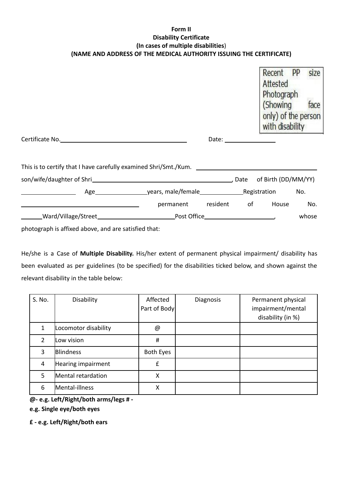# **Form II Disability Certificate (In cases of multiple disabilities**) **(NAME AND ADDRESS OF THE MEDICAL AUTHORITY ISSUING THE CERTIFICATE)**

|                                                                                                                                |                             |              | Recent PP<br>Attested<br>Photograph<br>(Showing<br>only) of the person<br>with disability | size<br>face |
|--------------------------------------------------------------------------------------------------------------------------------|-----------------------------|--------------|-------------------------------------------------------------------------------------------|--------------|
| Certificate No. 2008 - 2008 - 2008 - 2018 - 2019 - 2019 - 2019 - 2019 - 2019 - 2019 - 2019 - 2019 - 2019 - 20                  |                             | Date: $\_\_$ |                                                                                           |              |
| This is to certify that I have carefully examined Shri/Smt./Kum.                                                               |                             |              |                                                                                           |              |
|                                                                                                                                |                             |              |                                                                                           |              |
|                                                                                                                                |                             |              |                                                                                           |              |
|                                                                                                                                | permanent resident of House |              |                                                                                           | No.          |
|                                                                                                                                |                             |              |                                                                                           | whose        |
| $\mathbf{r}$ , and $\mathbf{r}$ , and $\mathbf{r}$ , and $\mathbf{r}$ , and $\mathbf{r}$ , and $\mathbf{r}$ , and $\mathbf{r}$ |                             |              |                                                                                           |              |

photograph is affixed above, and are satisfied that:

He/she is a Case of **Multiple Disability.** His/her extent of permanent physical impairment/ disability has been evaluated as per guidelines (to be specified) for the disabilities ticked below, and shown against the relevant disability in the table below:

| S. No.         | Disability           | Affected<br>Part of Body | Diagnosis | Permanent physical<br>impairment/mental<br>disability (in %) |
|----------------|----------------------|--------------------------|-----------|--------------------------------------------------------------|
| 1              | Locomotor disability | @                        |           |                                                              |
| $\overline{2}$ | Low vision           | $\#$                     |           |                                                              |
| 3              | <b>Blindness</b>     | <b>Both Eyes</b>         |           |                                                              |
| $\overline{4}$ | Hearing impairment   | £                        |           |                                                              |
| 5              | Mental retardation   | X                        |           |                                                              |
| 6              | Mental-illness       | Χ                        |           |                                                              |

**@- e.g. Left/Right/both arms/legs # -**

**e.g. Single eye/both eyes**

**£ - e.g. Left/Right/both ears**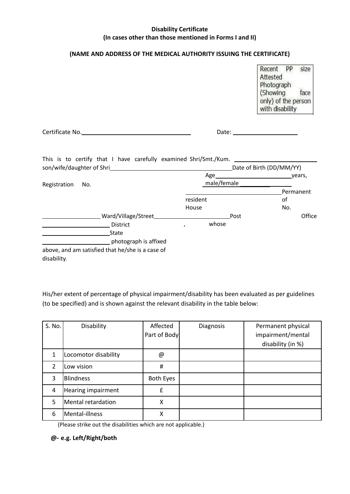## **Disability Certificate (In cases other than those mentioned in Forms I and II)**

## **(NAME AND ADDRESS OF THE MEDICAL AUTHORITY ISSUING THE CERTIFICATE)**

| Recent              | pр | size |
|---------------------|----|------|
| Attested            |    |      |
| Photograph          |    |      |
| (Showing            |    | face |
| only) of the person |    |      |
| with disability     |    |      |

Certificate No. No. 2008 and 2008 and 2008 and 2008 and 2008 and 2008 and 2008 and 2008 and 2008 and 2008 and 2008 and 2008 and 2008 and 2008 and 2008 and 2008 and 2008 and 2008 and 2008 and 2008 and 2008 and 2008 and 2008

| This is to certify that I have carefully examined Shri/Smt./Kum. |             |                          |           |
|------------------------------------------------------------------|-------------|--------------------------|-----------|
| son/wife/daughter of Shri                                        |             | Date of Birth (DD/MM/YY) |           |
|                                                                  | Age         |                          | _years,   |
| Registration<br>No.                                              | male/female |                          |           |
|                                                                  |             |                          | Permanent |
|                                                                  | resident    | οf                       |           |
|                                                                  | House       |                          | No.       |
| Ward/Village/Street_                                             |             | Post                     | Office    |
| <b>District</b>                                                  | whose       |                          |           |
| State                                                            |             |                          |           |
| photograph is affixed                                            |             |                          |           |
| above, and am satisfied that he/she is a case of<br>disability.  |             |                          |           |

His/her extent of percentage of physical impairment/disability has been evaluated as per guidelines (to be specified) and is shown against the relevant disability in the table below:

| S. No.        | Disability           | Affected<br>Part of Body | <b>Diagnosis</b> | Permanent physical<br>impairment/mental<br>disability (in %) |
|---------------|----------------------|--------------------------|------------------|--------------------------------------------------------------|
| 1             | Locomotor disability | @                        |                  |                                                              |
| $\mathcal{P}$ | Low vision           | $\#$                     |                  |                                                              |
| 3             | <b>Blindness</b>     | Both Eyes                |                  |                                                              |
| 4             | Hearing impairment   | f                        |                  |                                                              |
| 5             | Mental retardation   | X                        |                  |                                                              |
| 6             | Mental-illness       | X                        |                  |                                                              |

(Please strike out the disabilities which are not applicable.)

## **@- e.g. Left/Right/both**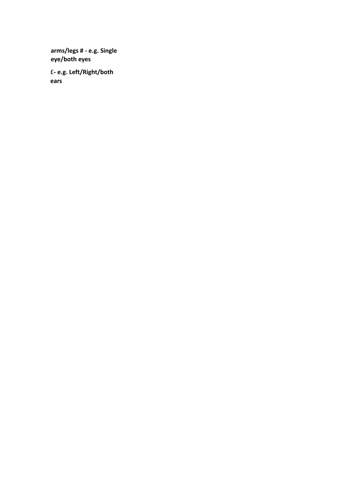**arms/legs # - e.g. Single eye/both eyes**

£**- e.g. Left/Right/both ears**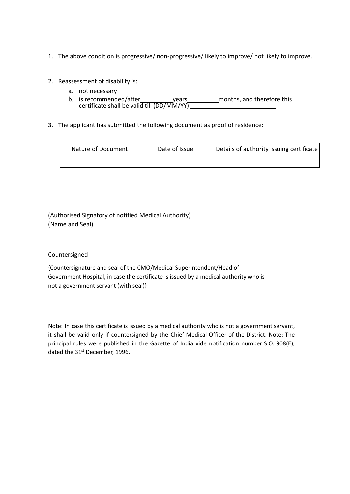- 1. The above condition is progressive/ non-progressive/ likely to improve/ not likely to improve.
- 2. Reassessment of disability is:
	- a. not necessary
	- b. is recommended/after years months, and therefore this certificate shall be valid till  $(DD/MM/YY)$
- 3. The applicant has submitted the following document as proof of residence:

| Nature of Document | Date of Issue | Details of authority issuing certificate |
|--------------------|---------------|------------------------------------------|
|                    |               |                                          |

(Authorised Signatory of notified Medical Authority) (Name and Seal)

## Countersigned

{Countersignature and seal of the CMO/Medical Superintendent/Head of Government Hospital, in case the certificate is issued by a medical authority who is not a government servant (with seal)}

Note: In case this certificate is issued by a medical authority who is not a government servant, it shall be valid only if countersigned by the Chief Medical Officer of the District. Note: The principal rules were published in the Gazette of India vide notification number S.O. 908(E), dated the 31<sup>st</sup> December, 1996.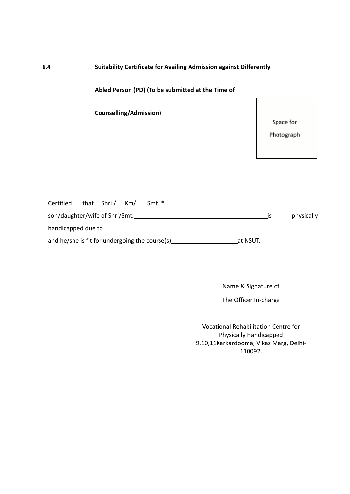# **6.4 Suitability Certificate for Availing Admission against Differently**

**Abled Person (PD) (To be submitted at the Time of**

**Counselling/Admission)**

Space for

Photograph

| Certified                                      | that Shri/ Km/ | Smt. * |          |    |            |
|------------------------------------------------|----------------|--------|----------|----|------------|
| son/daughter/wife of Shri/Smt.                 |                |        |          | 1S | physically |
| handicapped due to                             |                |        |          |    |            |
| and he/she is fit for undergoing the course(s) |                |        | at NSUT. |    |            |

Name & Signature of

The Officer In-charge

Vocational Rehabilitation Centre for Physically Handicapped 9,10,11Karkardooma, Vikas Marg, Delhi-110092.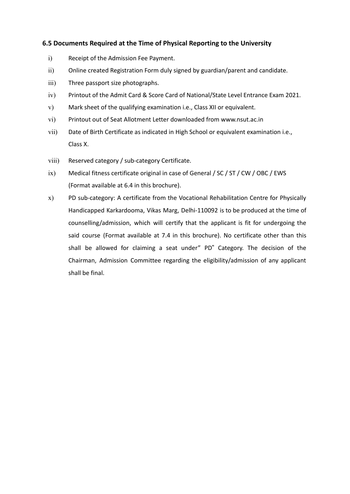# **6.5 Documents Required at the Time of Physical Reporting to the University**

- i) Receipt of the Admission Fee Payment.
- ii) Online created Registration Form duly signed by guardian/parent and candidate.
- iii) Three passport size photographs.
- iv) Printout of the Admit Card & Score Card of National/State Level Entrance Exam 2021.
- v) Mark sheet of the qualifying examination i.e., Class XII or equivalent.
- vi) Printout out of Seat Allotment Letter downloaded from [www.nsut.ac.in](http://www.nsut.ac.in/)
- vii) Date of Birth Certificate as indicated in High School or equivalent examination i.e., Class X.
- viii) Reserved category / sub-category Certificate.
- ix) Medical fitness certificate original in case of General / SC / ST / CW / OBC / EWS (Format available at 6.4 in this brochure).
- x) PD sub-category: A certificate from the Vocational Rehabilitation Centre for Physically Handicapped Karkardooma, Vikas Marg, Delhi-110092 is to be produced at the time of counselling/admission, which will certify that the applicant is fit for undergoing the said course (Format available at 7.4 in this brochure). No certificate other than this shall be allowed for claiming a seat under" PD" Category. The decision of the Chairman, Admission Committee regarding the eligibility/admission of any applicant shall be final.